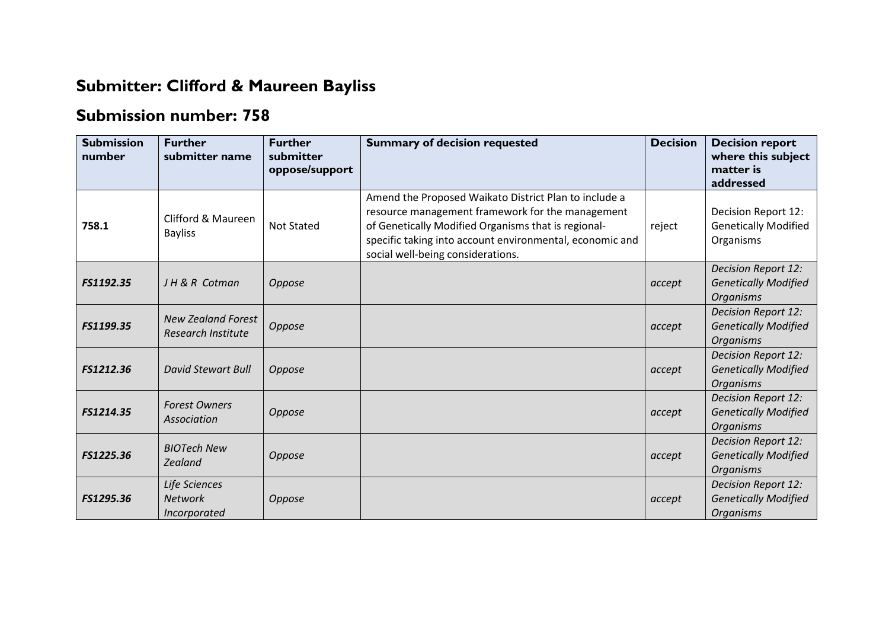## **Submitter: Clifford & Maureen Bayliss**

## **Submission number: 758**

| <b>Submission</b><br>number | <b>Further</b><br>submitter name                | <b>Further</b><br>submitter<br>oppose/support | <b>Summary of decision requested</b>                                                                                                                                                                                                                              | <b>Decision</b> | <b>Decision report</b><br>where this subject<br>matter is<br>addressed        |
|-----------------------------|-------------------------------------------------|-----------------------------------------------|-------------------------------------------------------------------------------------------------------------------------------------------------------------------------------------------------------------------------------------------------------------------|-----------------|-------------------------------------------------------------------------------|
| 758.1                       | Clifford & Maureen<br><b>Bayliss</b>            | <b>Not Stated</b>                             | Amend the Proposed Waikato District Plan to include a<br>resource management framework for the management<br>of Genetically Modified Organisms that is regional-<br>specific taking into account environmental, economic and<br>social well-being considerations. | reject          | Decision Report 12:<br><b>Genetically Modified</b><br>Organisms               |
| FS1192.35                   | JH & R Cotman                                   | Oppose                                        |                                                                                                                                                                                                                                                                   | accept          | Decision Report 12:<br><b>Genetically Modified</b><br><b>Organisms</b>        |
| FS1199.35                   | <b>New Zealand Forest</b><br>Research Institute | Oppose                                        |                                                                                                                                                                                                                                                                   | accept          | Decision Report 12:<br><b>Genetically Modified</b><br><b>Organisms</b>        |
| FS1212.36                   | <b>David Stewart Bull</b>                       | Oppose                                        |                                                                                                                                                                                                                                                                   | accept          | <b>Decision Report 12:</b><br><b>Genetically Modified</b><br><b>Organisms</b> |
| FS1214.35                   | <b>Forest Owners</b><br>Association             | Oppose                                        |                                                                                                                                                                                                                                                                   | accept          | Decision Report 12:<br><b>Genetically Modified</b><br><b>Organisms</b>        |
| FS1225.36                   | <b>BIOTech New</b><br><b>Zealand</b>            | Oppose                                        |                                                                                                                                                                                                                                                                   | accept          | <b>Decision Report 12:</b><br><b>Genetically Modified</b><br><b>Organisms</b> |
| FS1295.36                   | Life Sciences<br><b>Network</b><br>Incorporated | Oppose                                        |                                                                                                                                                                                                                                                                   | accept          | Decision Report 12:<br><b>Genetically Modified</b><br><b>Organisms</b>        |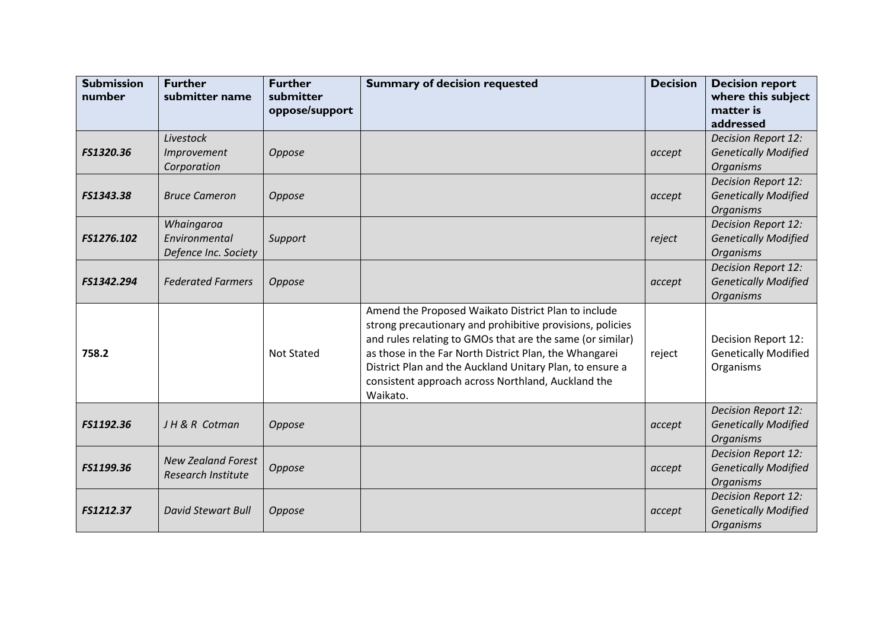| <b>Submission</b><br>number | <b>Further</b><br>submitter name                    | <b>Further</b><br>submitter<br>oppose/support | <b>Summary of decision requested</b>                                                                                                                                                                                                                                                                                                                                  | <b>Decision</b> | <b>Decision report</b><br>where this subject<br>matter is                     |
|-----------------------------|-----------------------------------------------------|-----------------------------------------------|-----------------------------------------------------------------------------------------------------------------------------------------------------------------------------------------------------------------------------------------------------------------------------------------------------------------------------------------------------------------------|-----------------|-------------------------------------------------------------------------------|
|                             |                                                     |                                               |                                                                                                                                                                                                                                                                                                                                                                       |                 | addressed                                                                     |
| FS1320.36                   | Livestock<br>Improvement<br>Corporation             | Oppose                                        |                                                                                                                                                                                                                                                                                                                                                                       | accept          | <b>Decision Report 12:</b><br><b>Genetically Modified</b><br><b>Organisms</b> |
| FS1343.38                   | <b>Bruce Cameron</b>                                | Oppose                                        |                                                                                                                                                                                                                                                                                                                                                                       | accept          | <b>Decision Report 12:</b><br><b>Genetically Modified</b><br><b>Organisms</b> |
| FS1276.102                  | Whaingaroa<br>Environmental<br>Defence Inc. Society | Support                                       |                                                                                                                                                                                                                                                                                                                                                                       | reject          | <b>Decision Report 12:</b><br><b>Genetically Modified</b><br><b>Organisms</b> |
| FS1342.294                  | <b>Federated Farmers</b>                            | Oppose                                        |                                                                                                                                                                                                                                                                                                                                                                       | accept          | Decision Report 12:<br><b>Genetically Modified</b><br><b>Organisms</b>        |
| 758.2                       |                                                     | <b>Not Stated</b>                             | Amend the Proposed Waikato District Plan to include<br>strong precautionary and prohibitive provisions, policies<br>and rules relating to GMOs that are the same (or similar)<br>as those in the Far North District Plan, the Whangarei<br>District Plan and the Auckland Unitary Plan, to ensure a<br>consistent approach across Northland, Auckland the<br>Waikato. | reject          | Decision Report 12:<br><b>Genetically Modified</b><br>Organisms               |
| FS1192.36                   | JH & R Cotman                                       | Oppose                                        |                                                                                                                                                                                                                                                                                                                                                                       | accept          | Decision Report 12:<br><b>Genetically Modified</b><br><b>Organisms</b>        |
| FS1199.36                   | <b>New Zealand Forest</b><br>Research Institute     | Oppose                                        |                                                                                                                                                                                                                                                                                                                                                                       | accept          | Decision Report 12:<br><b>Genetically Modified</b><br><b>Organisms</b>        |
| FS1212.37                   | <b>David Stewart Bull</b>                           | Oppose                                        |                                                                                                                                                                                                                                                                                                                                                                       | accept          | Decision Report 12:<br><b>Genetically Modified</b><br><b>Organisms</b>        |